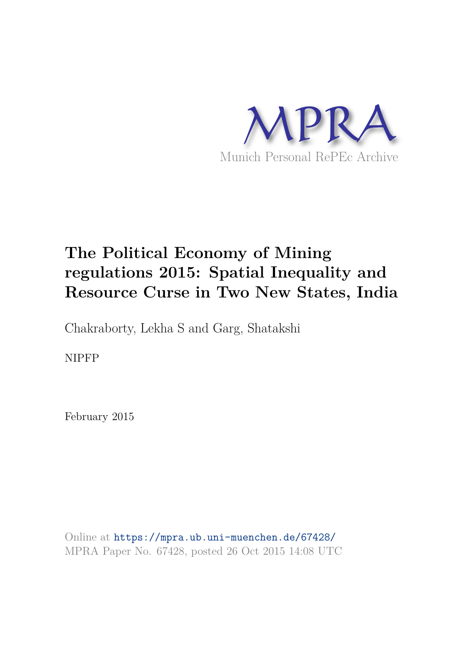

# **The Political Economy of Mining regulations 2015: Spatial Inequality and Resource Curse in Two New States, India**

Chakraborty, Lekha S and Garg, Shatakshi

NIPFP

February 2015

Online at https://mpra.ub.uni-muenchen.de/67428/ MPRA Paper No. 67428, posted 26 Oct 2015 14:08 UTC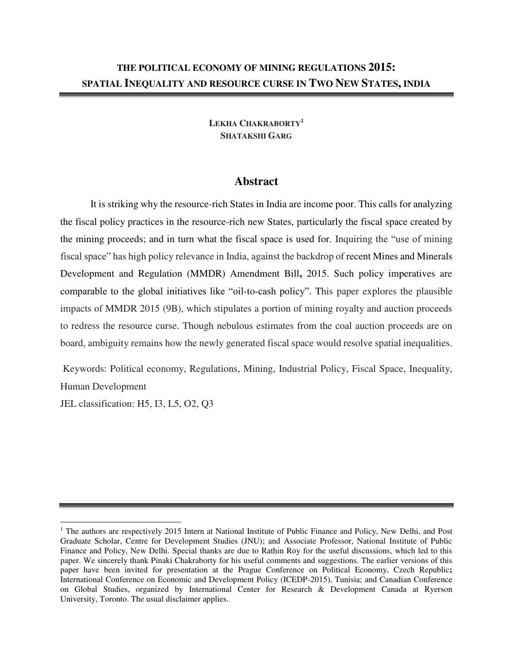## **LEKHA CHAKRABORTY<sup>1</sup> SHATAKSHI GARG**

# **Abstract**

It is striking why the resource-rich States in India are income poor. This calls for analyzing the fiscal policy practices in the resource-rich new States, particularly the fiscal space created by the mining proceeds; and in turn what the fiscal space is used for. Inquiring the "use of mining fiscal space" has high policy relevance in India, against the backdrop of recent Mines and Minerals Development and Regulation (MMDR) Amendment Bill**,** 2015. Such policy imperatives are comparable to the global initiatives like "oil-to-cash policy". This paper explores the plausible impacts of MMDR 2015 (9B), which stipulates a portion of mining royalty and auction proceeds to redress the resource curse. Though nebulous estimates from the coal auction proceeds are on board, ambiguity remains how the newly generated fiscal space would resolve spatial inequalities.

 Keywords: Political economy, Regulations, Mining, Industrial Policy, Fiscal Space, Inequality, Human Development

JEL classification: H5, I3, L5, O2, Q3

 $\overline{a}$ 

<sup>&</sup>lt;sup>1</sup> The authors are respectively 2015 Intern at National Institute of Public Finance and Policy, New Delhi, and Post Graduate Scholar, Centre for Development Studies (JNU); and Associate Professor, National Institute of Public Finance and Policy, New Delhi. Special thanks are due to Rathin Roy for the useful discussions, which led to this paper. We sincerely thank Pinaki Chakraborty for his useful comments and suggestions. The earlier versions of this paper have been invited for presentation at the Prague Conference on Political Economy, Czech Republic**;** International Conference on Economic and Development Policy (ICEDP-2015), Tunisia; and Canadian Conference on Global Studies, organized by International Center for Research & Development Canada at Ryerson University, Toronto. The usual disclaimer applies.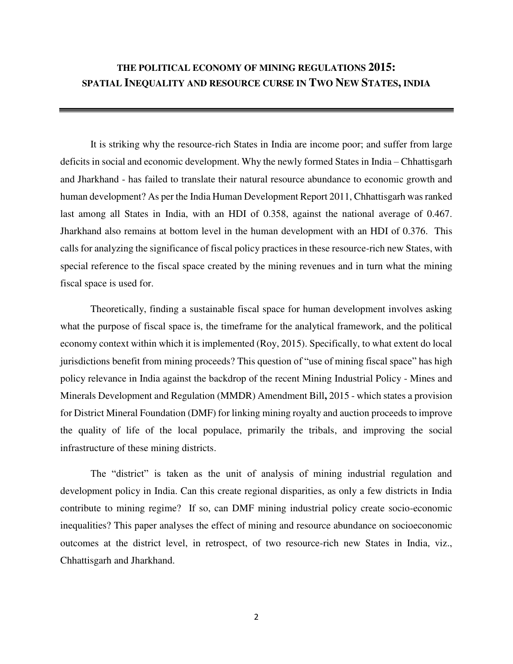# **THE POLITICAL ECONOMY OF MINING REGULATIONS 2015: SPATIAL INEQUALITY AND RESOURCE CURSE IN TWO NEW STATES, INDIA**

It is striking why the resource-rich States in India are income poor; and suffer from large deficits in social and economic development. Why the newly formed States in India – Chhattisgarh and Jharkhand - has failed to translate their natural resource abundance to economic growth and human development? As per the India Human Development Report 2011, Chhattisgarh was ranked last among all States in India, with an HDI of 0.358, against the national average of 0.467. Jharkhand also remains at bottom level in the human development with an HDI of 0.376. This calls for analyzing the significance of fiscal policy practices in these resource-rich new States, with special reference to the fiscal space created by the mining revenues and in turn what the mining fiscal space is used for.

Theoretically, finding a sustainable fiscal space for human development involves asking what the purpose of fiscal space is, the timeframe for the analytical framework, and the political economy context within which it is implemented (Roy, 2015). Specifically, to what extent do local jurisdictions benefit from mining proceeds? This question of "use of mining fiscal space" has high policy relevance in India against the backdrop of the recent Mining Industrial Policy - Mines and Minerals Development and Regulation (MMDR) Amendment Bill**,** 2015 - which states a provision for District Mineral Foundation (DMF) for linking mining royalty and auction proceeds to improve the quality of life of the local populace, primarily the tribals, and improving the social infrastructure of these mining districts.

The "district" is taken as the unit of analysis of mining industrial regulation and development policy in India. Can this create regional disparities, as only a few districts in India contribute to mining regime? If so, can DMF mining industrial policy create socio-economic inequalities? This paper analyses the effect of mining and resource abundance on socioeconomic outcomes at the district level, in retrospect, of two resource-rich new States in India, viz., Chhattisgarh and Jharkhand.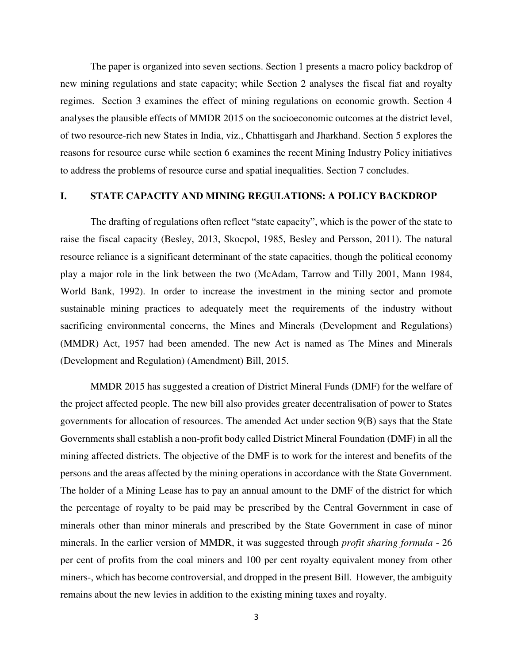The paper is organized into seven sections. Section 1 presents a macro policy backdrop of new mining regulations and state capacity; while Section 2 analyses the fiscal fiat and royalty regimes. Section 3 examines the effect of mining regulations on economic growth. Section 4 analyses the plausible effects of MMDR 2015 on the socioeconomic outcomes at the district level, of two resource-rich new States in India, viz., Chhattisgarh and Jharkhand. Section 5 explores the reasons for resource curse while section 6 examines the recent Mining Industry Policy initiatives to address the problems of resource curse and spatial inequalities. Section 7 concludes.

### **I. STATE CAPACITY AND MINING REGULATIONS: A POLICY BACKDROP**

The drafting of regulations often reflect "state capacity", which is the power of the state to raise the fiscal capacity (Besley, 2013, Skocpol, 1985, Besley and Persson, 2011). The natural resource reliance is a significant determinant of the state capacities, though the political economy play a major role in the link between the two (McAdam, Tarrow and Tilly 2001, Mann 1984, World Bank, 1992). In order to increase the investment in the mining sector and promote sustainable mining practices to adequately meet the requirements of the industry without sacrificing environmental concerns, the Mines and Minerals (Development and Regulations) (MMDR) Act, 1957 had been amended. The new Act is named as The Mines and Minerals (Development and Regulation) (Amendment) Bill, 2015.

MMDR 2015 has suggested a creation of District Mineral Funds (DMF) for the welfare of the project affected people. The new bill also provides greater decentralisation of power to States governments for allocation of resources. The amended Act under section 9(B) says that the State Governments shall establish a non-profit body called District Mineral Foundation (DMF) in all the mining affected districts. The objective of the DMF is to work for the interest and benefits of the persons and the areas affected by the mining operations in accordance with the State Government. The holder of a Mining Lease has to pay an annual amount to the DMF of the district for which the percentage of royalty to be paid may be prescribed by the Central Government in case of minerals other than minor minerals and prescribed by the State Government in case of minor minerals. In the earlier version of MMDR, it was suggested through *profit sharing formula* - 26 per cent of profits from the coal miners and 100 per cent royalty equivalent money from other miners-, which has become controversial, and dropped in the present Bill. However, the ambiguity remains about the new levies in addition to the existing mining taxes and royalty.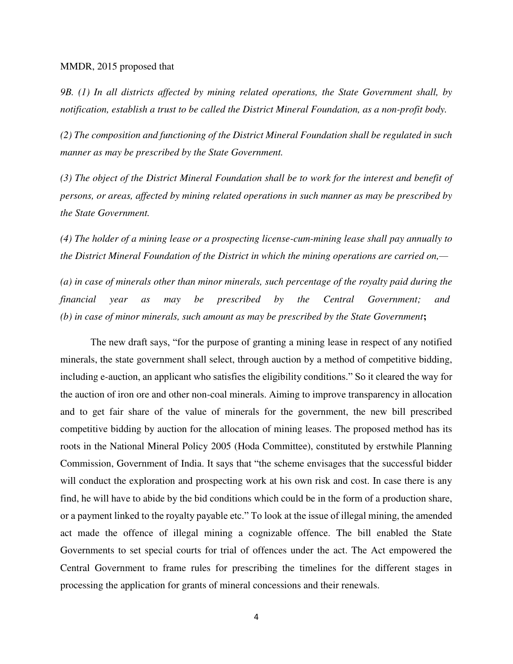#### MMDR, 2015 proposed that

*9B. (1) In all districts affected by mining related operations, the State Government shall, by notification, establish a trust to be called the District Mineral Foundation, as a non-profit body.* 

*(2) The composition and functioning of the District Mineral Foundation shall be regulated in such manner as may be prescribed by the State Government.* 

*(3) The object of the District Mineral Foundation shall be to work for the interest and benefit of persons, or areas, affected by mining related operations in such manner as may be prescribed by the State Government.* 

*(4) The holder of a mining lease or a prospecting license-cum-mining lease shall pay annually to the District Mineral Foundation of the District in which the mining operations are carried on,—* 

*(a) in case of minerals other than minor minerals, such percentage of the royalty paid during the financial year as may be prescribed by the Central Government; and (b) in case of minor minerals, such amount as may be prescribed by the State Government***;** 

The new draft says, "for the purpose of granting a mining lease in respect of any notified minerals, the state government shall select, through auction by a method of competitive bidding, including e-auction, an applicant who satisfies the eligibility conditions." So it cleared the way for the auction of iron ore and other non-coal minerals. Aiming to improve transparency in allocation and to get fair share of the value of minerals for the government, the new bill prescribed competitive bidding by auction for the allocation of mining leases. The proposed method has its roots in the National Mineral Policy 2005 (Hoda Committee), constituted by erstwhile Planning Commission, Government of India. It says that "the scheme envisages that the successful bidder will conduct the exploration and prospecting work at his own risk and cost. In case there is any find, he will have to abide by the bid conditions which could be in the form of a production share, or a payment linked to the royalty payable etc." To look at the issue of illegal mining, the amended act made the offence of illegal mining a cognizable offence. The bill enabled the State Governments to set special courts for trial of offences under the act. The Act empowered the Central Government to frame rules for prescribing the timelines for the different stages in processing the application for grants of mineral concessions and their renewals.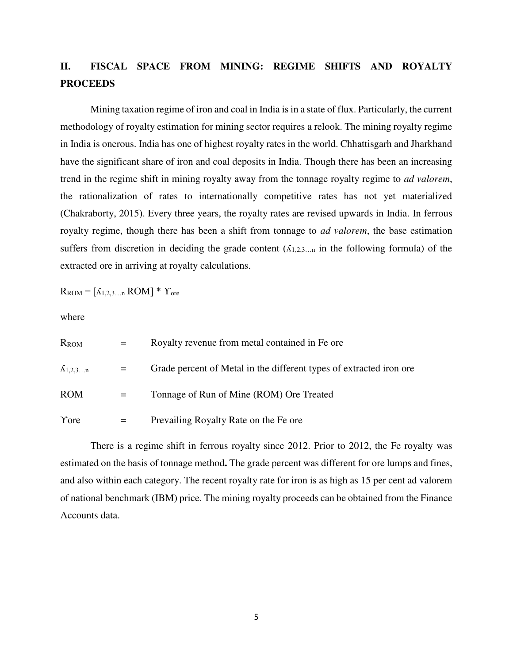# **II. FISCAL SPACE FROM MINING: REGIME SHIFTS AND ROYALTY PROCEEDS**

Mining taxation regime of iron and coal in India is in a state of flux. Particularly, the current methodology of royalty estimation for mining sector requires a relook. The mining royalty regime in India is onerous. India has one of highest royalty rates in the world. Chhattisgarh and Jharkhand have the significant share of iron and coal deposits in India. Though there has been an increasing trend in the regime shift in mining royalty away from the tonnage royalty regime to *ad valorem*, the rationalization of rates to internationally competitive rates has not yet materialized (Chakraborty, 2015). Every three years, the royalty rates are revised upwards in India. In ferrous royalty regime, though there has been a shift from tonnage to *ad valorem*, the base estimation suffers from discretion in deciding the grade content  $(A_{1,2,3...n})$  in the following formula) of the extracted ore in arriving at royalty calculations.

 $R_{ROM} = [\Lambda_{1,2,3...n}$   $ROM] * Y_{ore}$ 

where

| <b>R</b> <sub>ROM</sub> |     | Royalty revenue from metal contained in Fe ore.                      |
|-------------------------|-----|----------------------------------------------------------------------|
| $\Lambda_{1,2,3n}$      | $=$ | Grade percent of Metal in the different types of extracted iron ore. |
| <b>ROM</b>              |     | Tonnage of Run of Mine (ROM) Ore Treated                             |
| Yore                    |     | Prevailing Royalty Rate on the Fe ore                                |

There is a regime shift in ferrous royalty since 2012. Prior to 2012, the Fe royalty was estimated on the basis of tonnage method**.** The grade percent was different for ore lumps and fines, and also within each category. The recent royalty rate for iron is as high as 15 per cent ad valorem of national benchmark (IBM) price. The mining royalty proceeds can be obtained from the Finance Accounts data.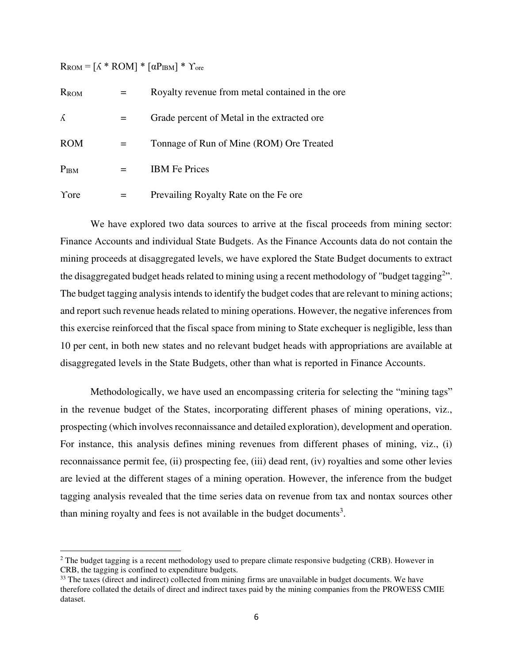$R_{ROM} = [\Lambda * ROM] * [\alpha P_{IBM}] * Y_{ore}$ 

 $\overline{a}$ 

| R <sub>ROM</sub>    |     | Royalty revenue from metal contained in the ore. |
|---------------------|-----|--------------------------------------------------|
| <sup><i>K</i></sup> | $=$ | Grade percent of Metal in the extracted ore.     |
| <b>ROM</b>          |     | Tonnage of Run of Mine (ROM) Ore Treated         |
| P <sub>IBM</sub>    |     | <b>IBM</b> Fe Prices                             |
| Yore                |     | Prevailing Royalty Rate on the Fe ore            |

We have explored two data sources to arrive at the fiscal proceeds from mining sector: Finance Accounts and individual State Budgets. As the Finance Accounts data do not contain the mining proceeds at disaggregated levels, we have explored the State Budget documents to extract the disaggregated budget heads related to mining using a recent methodology of "budget tagging<sup>2</sup>". The budget tagging analysis intends to identify the budget codes that are relevant to mining actions; and report such revenue heads related to mining operations. However, the negative inferences from this exercise reinforced that the fiscal space from mining to State exchequer is negligible, less than 10 per cent, in both new states and no relevant budget heads with appropriations are available at disaggregated levels in the State Budgets, other than what is reported in Finance Accounts.

Methodologically, we have used an encompassing criteria for selecting the "mining tags" in the revenue budget of the States, incorporating different phases of mining operations, viz., prospecting (which involves reconnaissance and detailed exploration), development and operation. For instance, this analysis defines mining revenues from different phases of mining, viz., (i) reconnaissance permit fee, (ii) prospecting fee, (iii) dead rent, (iv) royalties and some other levies are levied at the different stages of a mining operation. However, the inference from the budget tagging analysis revealed that the time series data on revenue from tax and nontax sources other than mining royalty and fees is not available in the budget documents<sup>3</sup>.

 $2$  The budget tagging is a recent methodology used to prepare climate responsive budgeting (CRB). However in CRB, the tagging is confined to expenditure budgets.

<sup>&</sup>lt;sup>33</sup> The taxes (direct and indirect) collected from mining firms are unavailable in budget documents. We have therefore collated the details of direct and indirect taxes paid by the mining companies from the PROWESS CMIE dataset.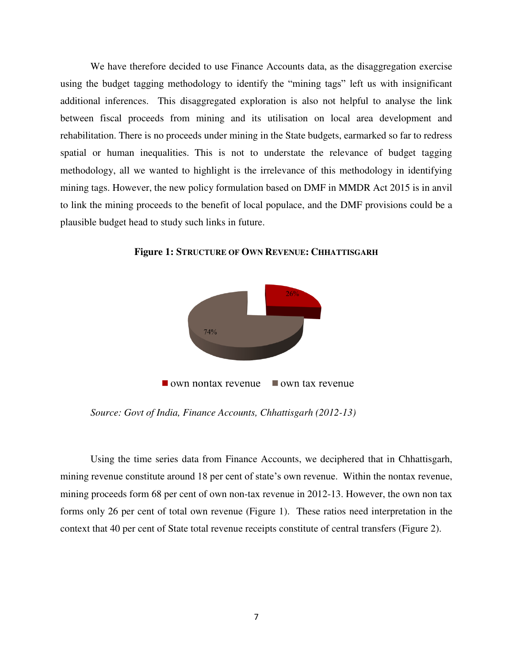We have therefore decided to use Finance Accounts data, as the disaggregation exercise using the budget tagging methodology to identify the "mining tags" left us with insignificant additional inferences. This disaggregated exploration is also not helpful to analyse the link between fiscal proceeds from mining and its utilisation on local area development and rehabilitation. There is no proceeds under mining in the State budgets, earmarked so far to redress spatial or human inequalities. This is not to understate the relevance of budget tagging methodology, all we wanted to highlight is the irrelevance of this methodology in identifying mining tags. However, the new policy formulation based on DMF in MMDR Act 2015 is in anvil to link the mining proceeds to the benefit of local populace, and the DMF provisions could be a plausible budget head to study such links in future.



**Figure 1: STRUCTURE OF OWN REVENUE: CHHATTISGARH**

*Source: Govt of India, Finance Accounts, Chhattisgarh (2012-13)* 

Using the time series data from Finance Accounts, we deciphered that in Chhattisgarh, mining revenue constitute around 18 per cent of state's own revenue. Within the nontax revenue, mining proceeds form 68 per cent of own non-tax revenue in 2012-13. However, the own non tax forms only 26 per cent of total own revenue (Figure 1). These ratios need interpretation in the context that 40 per cent of State total revenue receipts constitute of central transfers (Figure 2).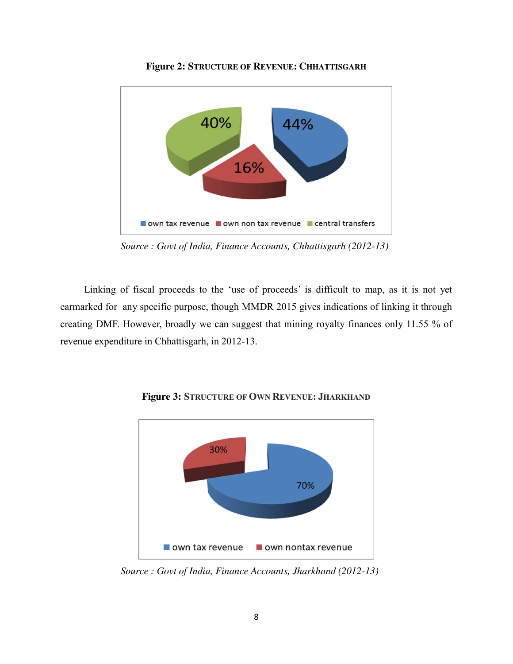

**Figure 2: STRUCTURE OF REVENUE: CHHATTISGARH**

*Source : Govt of India, Finance Accounts, Chhattisgarh (2012-13)* 

Linking of fiscal proceeds to the 'use of proceeds' is difficult to map, as it is not yet earmarked for any specific purpose, though MMDR 2015 gives indications of linking it through creating DMF. However, broadly we can suggest that mining royalty finances only 11.55 % of revenue expenditure in Chhattisgarh, in 2012-13.



**Figure 3: STRUCTURE OF OWN REVENUE: JHARKHAND**

*Source : Govt of India, Finance Accounts, Jharkhand (2012-13)*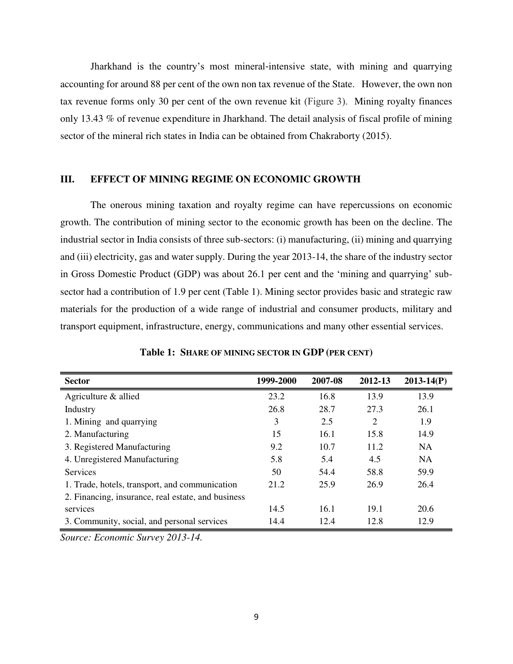Jharkhand is the country's most mineral‐intensive state, with mining and quarrying accounting for around 88 per cent of the own non tax revenue of the State. However, the own non tax revenue forms only 30 per cent of the own revenue kit (Figure 3). Mining royalty finances only 13.43 % of revenue expenditure in Jharkhand. The detail analysis of fiscal profile of mining sector of the mineral rich states in India can be obtained from Chakraborty (2015).

#### **III. EFFECT OF MINING REGIME ON ECONOMIC GROWTH**

The onerous mining taxation and royalty regime can have repercussions on economic growth. The contribution of mining sector to the economic growth has been on the decline. The industrial sector in India consists of three sub-sectors: (i) manufacturing, (ii) mining and quarrying and (iii) electricity, gas and water supply. During the year 2013-14, the share of the industry sector in Gross Domestic Product (GDP) was about 26.1 per cent and the 'mining and quarrying' subsector had a contribution of 1.9 per cent (Table 1). Mining sector provides basic and strategic raw materials for the production of a wide range of industrial and consumer products, military and transport equipment, infrastructure, energy, communications and many other essential services.

| <b>Sector</b>                                      | 1999-2000 | 2007-08 | 2012-13 | $2013 - 14(P)$ |
|----------------------------------------------------|-----------|---------|---------|----------------|
| Agriculture & allied                               | 23.2      | 16.8    | 13.9    | 13.9           |
| Industry                                           | 26.8      | 28.7    | 27.3    | 26.1           |
| 1. Mining and quarrying                            | 3         | 2.5     | 2       | 1.9            |
| 2. Manufacturing                                   | 15        | 16.1    | 15.8    | 14.9           |
| 3. Registered Manufacturing                        | 9.2       | 10.7    | 11.2    | <b>NA</b>      |
| 4. Unregistered Manufacturing                      | 5.8       | 5.4     | 4.5     | <b>NA</b>      |
| <b>Services</b>                                    | 50        | 54.4    | 58.8    | 59.9           |
| 1. Trade, hotels, transport, and communication     | 21.2      | 25.9    | 26.9    | 26.4           |
| 2. Financing, insurance, real estate, and business |           |         |         |                |
| services                                           | 14.5      | 16.1    | 19.1    | 20.6           |
| 3. Community, social, and personal services        | 14.4      | 12.4    | 12.8    | 12.9           |

|  | Table 1: SHARE OF MINING SECTOR IN GDP (PER CENT) |  |  |  |  |  |
|--|---------------------------------------------------|--|--|--|--|--|
|--|---------------------------------------------------|--|--|--|--|--|

*Source: Economic Survey 2013-14.*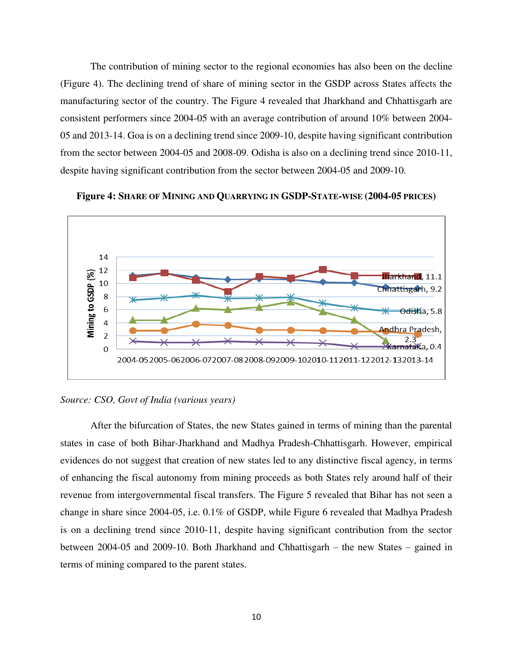The contribution of mining sector to the regional economies has also been on the decline (Figure 4). The declining trend of share of mining sector in the GSDP across States affects the manufacturing sector of the country. The Figure 4 revealed that Jharkhand and Chhattisgarh are consistent performers since 2004-05 with an average contribution of around 10% between 2004- 05 and 2013-14. Goa is on a declining trend since 2009-10, despite having significant contribution from the sector between 2004-05 and 2008-09. Odisha is also on a declining trend since 2010-11, despite having significant contribution from the sector between 2004-05 and 2009-10.





*Source: CSO, Govt of India (various years)* 

After the bifurcation of States, the new States gained in terms of mining than the parental states in case of both Bihar-Jharkhand and Madhya Pradesh-Chhattisgarh. However, empirical evidences do not suggest that creation of new states led to any distinctive fiscal agency, in terms of enhancing the fiscal autonomy from mining proceeds as both States rely around half of their revenue from intergovernmental fiscal transfers. The Figure 5 revealed that Bihar has not seen a change in share since 2004-05, i.e. 0.1% of GSDP, while Figure 6 revealed that Madhya Pradesh is on a declining trend since 2010-11, despite having significant contribution from the sector between 2004-05 and 2009-10. Both Jharkhand and Chhattisgarh – the new States – gained in terms of mining compared to the parent states.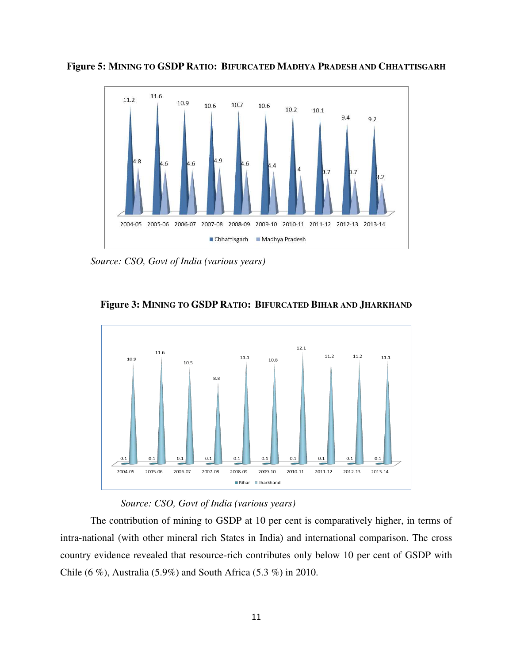

**Figure 5: MINING TO GSDP RATIO: BIFURCATED MADHYA PRADESH AND CHHATTISGARH**

*Source: CSO, Govt of India (various years)* 



**Figure 3: MINING TO GSDP RATIO: BIFURCATED BIHAR AND JHARKHAND**

### *Source: CSO, Govt of India (various years)*

The contribution of mining to GSDP at 10 per cent is comparatively higher, in terms of intra-national (with other mineral rich States in India) and international comparison. The cross country evidence revealed that resource-rich contributes only below 10 per cent of GSDP with Chile (6 %), Australia (5.9%) and South Africa (5.3 %) in 2010.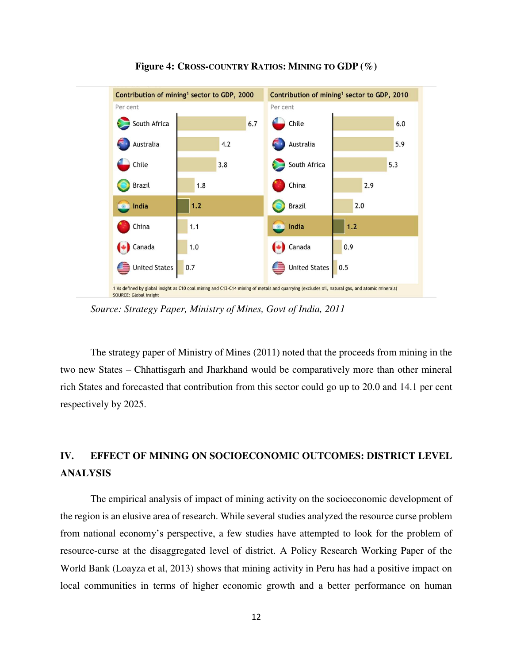

**Figure 4: CROSS-COUNTRY RATIOS: MINING TO GDP (%)** 

*Source: Strategy Paper, Ministry of Mines, Govt of India, 2011* 

The strategy paper of Ministry of Mines (2011) noted that the proceeds from mining in the two new States – Chhattisgarh and Jharkhand would be comparatively more than other mineral rich States and forecasted that contribution from this sector could go up to 20.0 and 14.1 per cent respectively by 2025.

# **IV. EFFECT OF MINING ON SOCIOECONOMIC OUTCOMES: DISTRICT LEVEL ANALYSIS**

The empirical analysis of impact of mining activity on the socioeconomic development of the region is an elusive area of research. While several studies analyzed the resource curse problem from national economy's perspective, a few studies have attempted to look for the problem of resource-curse at the disaggregated level of district. A Policy Research Working Paper of the World Bank (Loayza et al, 2013) shows that mining activity in Peru has had a positive impact on local communities in terms of higher economic growth and a better performance on human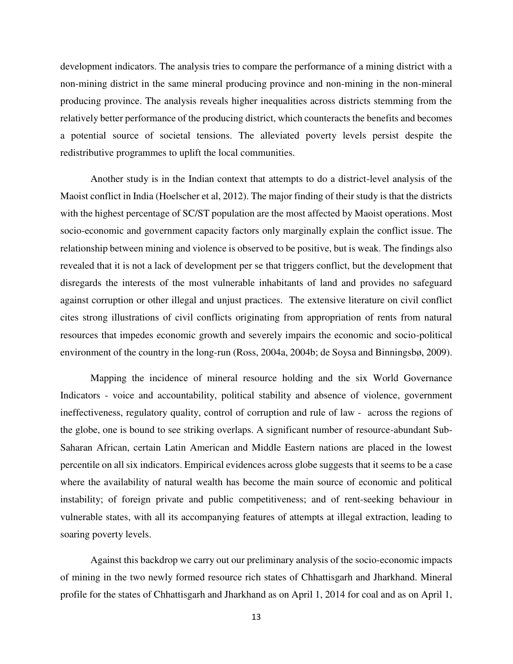development indicators. The analysis tries to compare the performance of a mining district with a non-mining district in the same mineral producing province and non-mining in the non-mineral producing province. The analysis reveals higher inequalities across districts stemming from the relatively better performance of the producing district, which counteracts the benefits and becomes a potential source of societal tensions. The alleviated poverty levels persist despite the redistributive programmes to uplift the local communities.

Another study is in the Indian context that attempts to do a district-level analysis of the Maoist conflict in India (Hoelscher et al, 2012). The major finding of their study is that the districts with the highest percentage of SC/ST population are the most affected by Maoist operations. Most socio-economic and government capacity factors only marginally explain the conflict issue. The relationship between mining and violence is observed to be positive, but is weak. The findings also revealed that it is not a lack of development per se that triggers conflict, but the development that disregards the interests of the most vulnerable inhabitants of land and provides no safeguard against corruption or other illegal and unjust practices. The extensive literature on civil conflict cites strong illustrations of civil conflicts originating from appropriation of rents from natural resources that impedes economic growth and severely impairs the economic and socio-political environment of the country in the long-run (Ross, 2004a, 2004b; de Soysa and Binningsbø, 2009).

Mapping the incidence of mineral resource holding and the six World Governance Indicators - voice and accountability, political stability and absence of violence, government ineffectiveness, regulatory quality, control of corruption and rule of law - across the regions of the globe, one is bound to see striking overlaps. A significant number of resource-abundant Sub-Saharan African, certain Latin American and Middle Eastern nations are placed in the lowest percentile on all six indicators. Empirical evidences across globe suggests that it seems to be a case where the availability of natural wealth has become the main source of economic and political instability; of foreign private and public competitiveness; and of rent-seeking behaviour in vulnerable states, with all its accompanying features of attempts at illegal extraction, leading to soaring poverty levels.

Against this backdrop we carry out our preliminary analysis of the socio-economic impacts of mining in the two newly formed resource rich states of Chhattisgarh and Jharkhand. Mineral profile for the states of Chhattisgarh and Jharkhand as on April 1, 2014 for coal and as on April 1,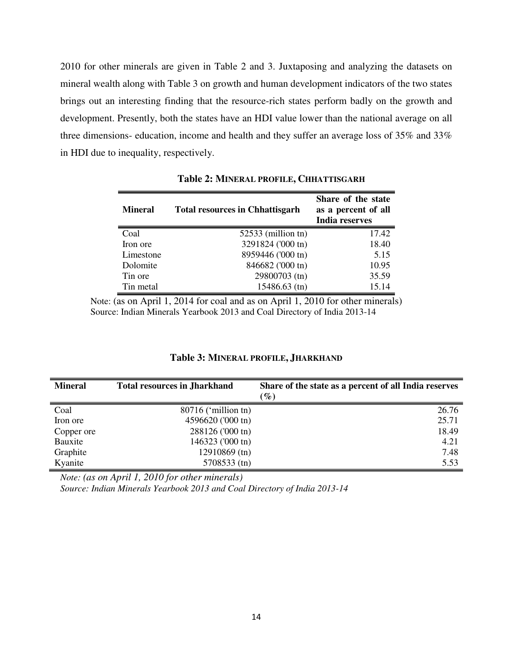2010 for other minerals are given in Table 2 and 3. Juxtaposing and analyzing the datasets on mineral wealth along with Table 3 on growth and human development indicators of the two states brings out an interesting finding that the resource-rich states perform badly on the growth and development. Presently, both the states have an HDI value lower than the national average on all three dimensions- education, income and health and they suffer an average loss of 35% and 33% in HDI due to inequality, respectively.

| <b>Mineral</b> | <b>Total resources in Chhattisgarh</b> | Share of the state<br>as a percent of all<br><b>India reserves</b> |
|----------------|----------------------------------------|--------------------------------------------------------------------|
| Coal           | $52533$ (million tn)                   | 17.42                                                              |
| Iron ore       | 3291824 ('000 tn)                      | 18.40                                                              |
| Limestone      | 8959446 ('000 tn)                      | 5.15                                                               |
| Dolomite       | 846682 ('000 tn)                       | 10.95                                                              |
| Tin ore        | 29800703 (tn)                          | 35.59                                                              |
| Tin metal      | $15486.63$ (tn)                        | 15.14                                                              |

**Table 2: MINERAL PROFILE, CHHATTISGARH**

Note: (as on April 1, 2014 for coal and as on April 1, 2010 for other minerals) Source: Indian Minerals Yearbook 2013 and Coal Directory of India 2013-14

| <b>Mineral</b> | <b>Total resources in Jharkhand</b> | Share of the state as a percent of all India reserves<br>$(\%)$ |
|----------------|-------------------------------------|-----------------------------------------------------------------|
| Coal           | $80716$ ('million tn)               | 26.76                                                           |
| Iron ore       | 4596620 ('000 tn)                   | 25.71                                                           |
| Copper ore     | 288126 ('000 tn)                    | 18.49                                                           |
| Bauxite        | 146323 ('000 tn)                    | 4.21                                                            |
| Graphite       | 12910869 (tn)                       | 7.48                                                            |
| Kyanite        | 5708533 (tn)                        | 5.53                                                            |

### **Table 3: MINERAL PROFILE, JHARKHAND**

*Note: (as on April 1, 2010 for other minerals)* 

*Source: Indian Minerals Yearbook 2013 and Coal Directory of India 2013-14*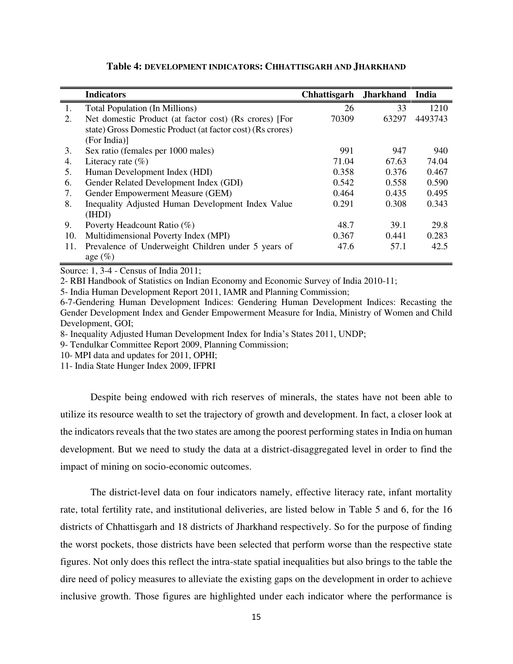|     | <b>Indicators</b>                                          | <b>Chhattisgarh</b> | <b>Jharkhand</b> | India   |
|-----|------------------------------------------------------------|---------------------|------------------|---------|
| 1.  | <b>Total Population (In Millions)</b>                      | 26                  | 33               | 1210    |
| 2.  | Net domestic Product (at factor cost) (Rs crores) [For     | 70309               | 63297            | 4493743 |
|     | state) Gross Domestic Product (at factor cost) (Rs crores) |                     |                  |         |
|     | (For India)]                                               |                     |                  |         |
| 3.  | Sex ratio (females per 1000 males)                         | 991                 | 947              | 940     |
| 4.  | Literacy rate $(\% )$                                      | 71.04               | 67.63            | 74.04   |
| 5.  | Human Development Index (HDI)                              | 0.358               | 0.376            | 0.467   |
| 6.  | Gender Related Development Index (GDI)                     | 0.542               | 0.558            | 0.590   |
| 7.  | Gender Empowerment Measure (GEM)                           | 0.464               | 0.435            | 0.495   |
| 8.  | Inequality Adjusted Human Development Index Value          | 0.291               | 0.308            | 0.343   |
|     | (IHDI)                                                     |                     |                  |         |
| 9.  | Poverty Headcount Ratio (%)                                | 48.7                | 39.1             | 29.8    |
| 10. | Multidimensional Poverty Index (MPI)                       | 0.367               | 0.441            | 0.283   |
| 11. | Prevalence of Underweight Children under 5 years of        | 47.6                | 57.1             | 42.5    |
|     | age $(\%)$                                                 |                     |                  |         |

#### **Table 4: DEVELOPMENT INDICATORS: CHHATTISGARH AND JHARKHAND**

Source: 1, 3-4 - Census of India 2011;

2- RBI Handbook of Statistics on Indian Economy and Economic Survey of India 2010-11;

5- India Human Development Report 2011, IAMR and Planning Commission;

6-7-Gendering Human Development Indices: Gendering Human Development Indices: Recasting the Gender Development Index and Gender Empowerment Measure for India, Ministry of Women and Child Development, GOI;

8- Inequality Adjusted Human Development Index for India's States 2011, UNDP;

9- Tendulkar Committee Report 2009, Planning Commission;

10- MPI data and updates for 2011, OPHI;

11- India State Hunger Index 2009, IFPRI

Despite being endowed with rich reserves of minerals, the states have not been able to utilize its resource wealth to set the trajectory of growth and development. In fact, a closer look at the indicators reveals that the two states are among the poorest performing states in India on human development. But we need to study the data at a district-disaggregated level in order to find the impact of mining on socio-economic outcomes.

The district-level data on four indicators namely, effective literacy rate, infant mortality rate, total fertility rate, and institutional deliveries, are listed below in Table 5 and 6, for the 16 districts of Chhattisgarh and 18 districts of Jharkhand respectively. So for the purpose of finding the worst pockets, those districts have been selected that perform worse than the respective state figures. Not only does this reflect the intra-state spatial inequalities but also brings to the table the dire need of policy measures to alleviate the existing gaps on the development in order to achieve inclusive growth. Those figures are highlighted under each indicator where the performance is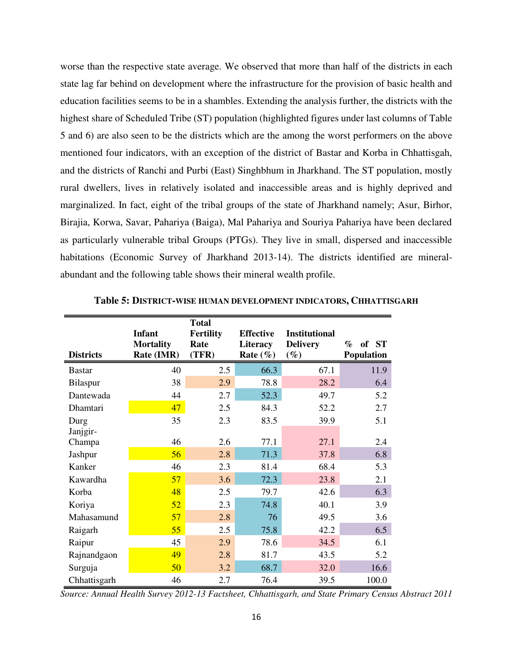worse than the respective state average. We observed that more than half of the districts in each state lag far behind on development where the infrastructure for the provision of basic health and education facilities seems to be in a shambles. Extending the analysis further, the districts with the highest share of Scheduled Tribe (ST) population (highlighted figures under last columns of Table 5 and 6) are also seen to be the districts which are the among the worst performers on the above mentioned four indicators, with an exception of the district of Bastar and Korba in Chhattisgah, and the districts of Ranchi and Purbi (East) Singhbhum in Jharkhand. The ST population, mostly rural dwellers, lives in relatively isolated and inaccessible areas and is highly deprived and marginalized. In fact, eight of the tribal groups of the state of Jharkhand namely; Asur, Birhor, Birajia, Korwa, Savar, Pahariya (Baiga), Mal Pahariya and Souriya Pahariya have been declared as particularly vulnerable tribal Groups (PTGs). They live in small, dispersed and inaccessible habitations (Economic Survey of Jharkhand 2013-14). The districts identified are mineralabundant and the following table shows their mineral wealth profile.

| <b>Districts</b> | <b>Infant</b><br><b>Mortality</b><br>Rate (IMR) | <b>Total</b><br><b>Fertility</b><br>Rate<br>(TFR) | <b>Effective</b><br>Literacy<br>Rate $(\%)$ | <b>Institutional</b><br><b>Delivery</b><br>$(\%)$ | of ST<br>$\%$<br><b>Population</b> |
|------------------|-------------------------------------------------|---------------------------------------------------|---------------------------------------------|---------------------------------------------------|------------------------------------|
| <b>Bastar</b>    | 40                                              | 2.5                                               | 66.3                                        | 67.1                                              | 11.9                               |
| Bilaspur         | 38                                              | 2.9                                               | 78.8                                        | 28.2                                              | 6.4                                |
| Dantewada        | 44                                              | 2.7                                               | 52.3                                        | 49.7                                              | 5.2                                |
| Dhamtari         | 47                                              | 2.5                                               | 84.3                                        | 52.2                                              | 2.7                                |
| Durg<br>Janjgir- | 35                                              | 2.3                                               | 83.5                                        | 39.9                                              | 5.1                                |
| Champa           | 46                                              | 2.6                                               | 77.1                                        | 27.1                                              | 2.4                                |
| Jashpur          | 56                                              | 2.8                                               | 71.3                                        | 37.8                                              | 6.8                                |
| Kanker           | 46                                              | 2.3                                               | 81.4                                        | 68.4                                              | 5.3                                |
| Kawardha         | 57                                              | 3.6                                               | 72.3                                        | 23.8                                              | 2.1                                |
| Korba            | 48                                              | 2.5                                               | 79.7                                        | 42.6                                              | 6.3                                |
| Koriya           | 52                                              | 2.3                                               | 74.8                                        | 40.1                                              | 3.9                                |
| Mahasamund       | 57                                              | 2.8                                               | 76                                          | 49.5                                              | 3.6                                |
| Raigarh          | 55                                              | 2.5                                               | 75.8                                        | 42.2                                              | 6.5                                |
| Raipur           | 45                                              | 2.9                                               | 78.6                                        | 34.5                                              | 6.1                                |
| Rajnandgaon      | 49                                              | 2.8                                               | 81.7                                        | 43.5                                              | 5.2                                |
| Surguja          | 50                                              | 3.2                                               | 68.7                                        | 32.0                                              | 16.6                               |
| Chhattisgarh     | 46                                              | 2.7                                               | 76.4                                        | 39.5                                              | 100.0                              |

|  | Table 5: DISTRICT-WISE HUMAN DEVELOPMENT INDICATORS, CHHATTISGARH |
|--|-------------------------------------------------------------------|
|--|-------------------------------------------------------------------|

*Source: Annual Health Survey 2012-13 Factsheet, Chhattisgarh, and State Primary Census Abstract 2011*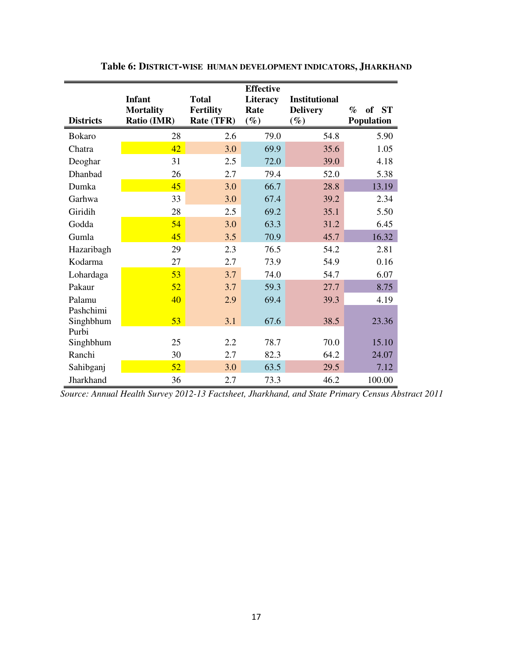| <b>Districts</b>    | <b>Infant</b><br><b>Mortality</b><br>Ratio (IMR) | <b>Total</b><br><b>Fertility</b><br>Rate (TFR) | <b>Effective</b><br>Literacy<br>Rate<br>$(\%)$ | <b>Institutional</b><br><b>Delivery</b><br>$(\%)$ | $\%$<br>of<br><b>ST</b><br>Population |
|---------------------|--------------------------------------------------|------------------------------------------------|------------------------------------------------|---------------------------------------------------|---------------------------------------|
| <b>Bokaro</b>       | 28                                               | 2.6                                            | 79.0                                           | 54.8                                              | 5.90                                  |
| Chatra              | 42                                               | 3.0                                            | 69.9                                           | 35.6                                              | 1.05                                  |
| Deoghar             | 31                                               | 2.5                                            | 72.0                                           | 39.0                                              | 4.18                                  |
| Dhanbad             | 26                                               | 2.7                                            | 79.4                                           | 52.0                                              | 5.38                                  |
| Dumka               | 45                                               | 3.0                                            | 66.7                                           | 28.8                                              | 13.19                                 |
| Garhwa              | 33                                               | 3.0                                            | 67.4                                           | 39.2                                              | 2.34                                  |
| Giridih             | 28                                               | 2.5                                            | 69.2                                           | 35.1                                              | 5.50                                  |
| Godda               | 54                                               | 3.0                                            | 63.3                                           | 31.2                                              | 6.45                                  |
| Gumla               | 45                                               | 3.5                                            | 70.9                                           | 45.7                                              | 16.32                                 |
| Hazaribagh          | 29                                               | 2.3                                            | 76.5                                           | 54.2                                              | 2.81                                  |
| Kodarma             | 27                                               | 2.7                                            | 73.9                                           | 54.9                                              | 0.16                                  |
| Lohardaga           | 53                                               | 3.7                                            | 74.0                                           | 54.7                                              | 6.07                                  |
| Pakaur              | 52                                               | 3.7                                            | 59.3                                           | 27.7                                              | 8.75                                  |
| Palamu<br>Pashchimi | 40                                               | 2.9                                            | 69.4                                           | 39.3                                              | 4.19                                  |
| Singhbhum<br>Purbi  | 53                                               | 3.1                                            | 67.6                                           | 38.5                                              | 23.36                                 |
| Singhbhum           | 25                                               | 2.2                                            | 78.7                                           | 70.0                                              | 15.10                                 |
| Ranchi              | 30                                               | 2.7                                            | 82.3                                           | 64.2                                              | 24.07                                 |
| Sahibganj           | 52                                               | 3.0                                            | 63.5                                           | 29.5                                              | 7.12                                  |
| Jharkhand           | 36                                               | 2.7                                            | 73.3                                           | 46.2                                              | 100.00                                |

**Table 6: DISTRICT-WISE HUMAN DEVELOPMENT INDICATORS, JHARKHAND**

*Source: Annual Health Survey 2012-13 Factsheet, Jharkhand, and State Primary Census Abstract 2011*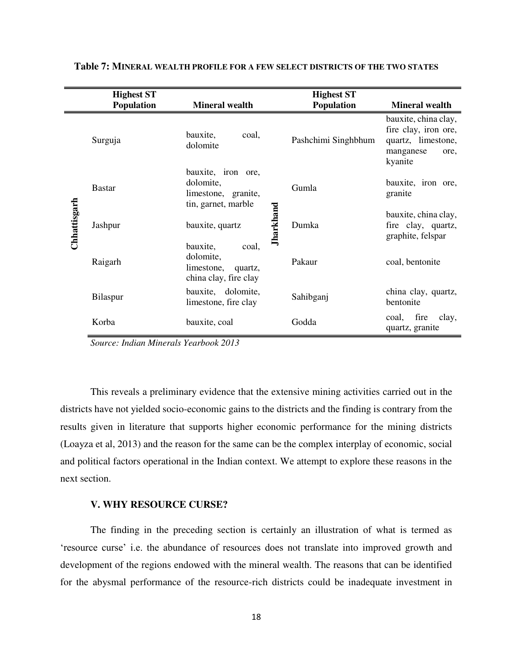|              | <b>Highest ST</b><br>Population | <b>Mineral wealth</b>                                                            | <b>Highest ST</b><br>Population | <b>Mineral wealth</b>                                                                              |  |
|--------------|---------------------------------|----------------------------------------------------------------------------------|---------------------------------|----------------------------------------------------------------------------------------------------|--|
|              | Surguja                         | bauxite,<br>coal,<br>dolomite                                                    | Pashchimi Singhbhum             | bauxite, china clay,<br>fire clay, iron ore,<br>quartz, limestone,<br>manganese<br>ore,<br>kyanite |  |
|              | <b>Bastar</b>                   | bauxite, iron ore,<br>dolomite,<br>limestone, granite,<br>tin, garnet, marble    | Gumla                           | bauxite, iron ore,<br>granite                                                                      |  |
| Chhattisgarh | Jashpur                         | <b>Jharkhand</b><br>bauxite, quartz                                              | Dumka                           | bauxite, china clay,<br>fire clay, quartz,<br>graphite, felspar                                    |  |
|              | Raigarh                         | bauxite,<br>coal,<br>dolomite,<br>limestone,<br>quartz,<br>china clay, fire clay | Pakaur                          | coal, bentonite                                                                                    |  |
|              | <b>Bilaspur</b>                 | bauxite, dolomite,<br>limestone, fire clay                                       | Sahibganj                       | china clay, quartz,<br>bentonite                                                                   |  |
|              | Korba                           | bauxite, coal                                                                    | Godda                           | coal, fire<br>clay,<br>quartz, granite                                                             |  |

#### **Table 7: MINERAL WEALTH PROFILE FOR A FEW SELECT DISTRICTS OF THE TWO STATES**

*Source: Indian Minerals Yearbook 2013* 

This reveals a preliminary evidence that the extensive mining activities carried out in the districts have not yielded socio-economic gains to the districts and the finding is contrary from the results given in literature that supports higher economic performance for the mining districts (Loayza et al, 2013) and the reason for the same can be the complex interplay of economic, social and political factors operational in the Indian context. We attempt to explore these reasons in the next section.

#### **V. WHY RESOURCE CURSE?**

The finding in the preceding section is certainly an illustration of what is termed as 'resource curse' i.e. the abundance of resources does not translate into improved growth and development of the regions endowed with the mineral wealth. The reasons that can be identified for the abysmal performance of the resource-rich districts could be inadequate investment in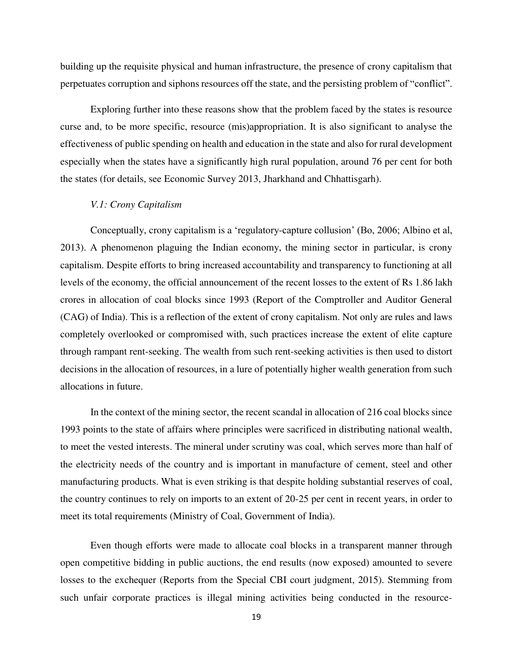building up the requisite physical and human infrastructure, the presence of crony capitalism that perpetuates corruption and siphons resources off the state, and the persisting problem of "conflict".

Exploring further into these reasons show that the problem faced by the states is resource curse and, to be more specific, resource (mis)appropriation. It is also significant to analyse the effectiveness of public spending on health and education in the state and also for rural development especially when the states have a significantly high rural population, around 76 per cent for both the states (for details, see Economic Survey 2013, Jharkhand and Chhattisgarh).

#### *V.1: Crony Capitalism*

Conceptually, crony capitalism is a 'regulatory-capture collusion' (Bo, 2006; Albino et al, 2013). A phenomenon plaguing the Indian economy, the mining sector in particular, is crony capitalism. Despite efforts to bring increased accountability and transparency to functioning at all levels of the economy, the official announcement of the recent losses to the extent of Rs 1.86 lakh crores in allocation of coal blocks since 1993 (Report of the Comptroller and Auditor General (CAG) of India). This is a reflection of the extent of crony capitalism. Not only are rules and laws completely overlooked or compromised with, such practices increase the extent of elite capture through rampant rent-seeking. The wealth from such rent-seeking activities is then used to distort decisions in the allocation of resources, in a lure of potentially higher wealth generation from such allocations in future.

In the context of the mining sector, the recent scandal in allocation of 216 coal blocks since 1993 points to the state of affairs where principles were sacrificed in distributing national wealth, to meet the vested interests. The mineral under scrutiny was coal, which serves more than half of the electricity needs of the country and is important in manufacture of cement, steel and other manufacturing products. What is even striking is that despite holding substantial reserves of coal, the country continues to rely on imports to an extent of 20-25 per cent in recent years, in order to meet its total requirements (Ministry of Coal, Government of India).

Even though efforts were made to allocate coal blocks in a transparent manner through open competitive bidding in public auctions, the end results (now exposed) amounted to severe losses to the exchequer (Reports from the Special CBI court judgment, 2015). Stemming from such unfair corporate practices is illegal mining activities being conducted in the resource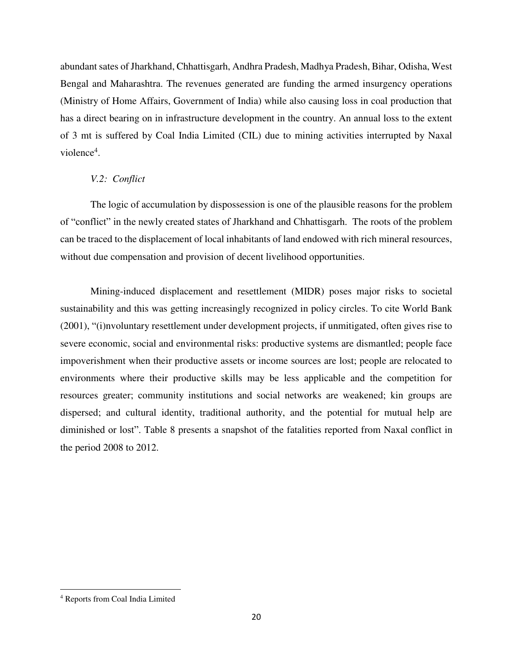abundant sates of Jharkhand, Chhattisgarh, Andhra Pradesh, Madhya Pradesh, Bihar, Odisha, West Bengal and Maharashtra. The revenues generated are funding the armed insurgency operations (Ministry of Home Affairs, Government of India) while also causing loss in coal production that has a direct bearing on in infrastructure development in the country. An annual loss to the extent of 3 mt is suffered by Coal India Limited (CIL) due to mining activities interrupted by Naxal violence<sup>4</sup>.

# *V.2: Conflict*

The logic of accumulation by dispossession is one of the plausible reasons for the problem of "conflict" in the newly created states of Jharkhand and Chhattisgarh. The roots of the problem can be traced to the displacement of local inhabitants of land endowed with rich mineral resources, without due compensation and provision of decent livelihood opportunities.

Mining-induced displacement and resettlement (MIDR) poses major risks to societal sustainability and this was getting increasingly recognized in policy circles. To cite World Bank (2001), "(i)nvoluntary resettlement under development projects, if unmitigated, often gives rise to severe economic, social and environmental risks: productive systems are dismantled; people face impoverishment when their productive assets or income sources are lost; people are relocated to environments where their productive skills may be less applicable and the competition for resources greater; community institutions and social networks are weakened; kin groups are dispersed; and cultural identity, traditional authority, and the potential for mutual help are diminished or lost". Table 8 presents a snapshot of the fatalities reported from Naxal conflict in the period 2008 to 2012.

l

<sup>4</sup> Reports from Coal India Limited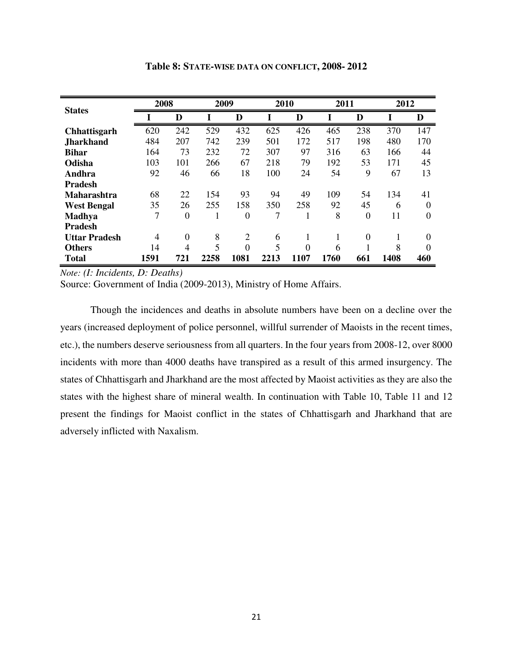| <b>States</b>        | 2008 |          | 2009 |                | 2010 |          | 2011 |                | 2012 |     |
|----------------------|------|----------|------|----------------|------|----------|------|----------------|------|-----|
|                      |      | D        |      | D              | I    | D        |      | D              |      | D   |
| <b>Chhattisgarh</b>  | 620  | 242      | 529  | 432            | 625  | 426      | 465  | 238            | 370  | 147 |
| <b>Jharkhand</b>     | 484  | 207      | 742  | 239            | 501  | 172      | 517  | 198            | 480  | 170 |
| <b>Bihar</b>         | 164  | 73       | 232  | 72             | 307  | 97       | 316  | 63             | 166  | 44  |
| Odisha               | 103  | 101      | 266  | 67             | 218  | 79       | 192  | 53             | 171  | 45  |
| Andhra               | 92   | 46       | 66   | 18             | 100  | 24       | 54   | 9              | 67   | 13  |
| <b>Pradesh</b>       |      |          |      |                |      |          |      |                |      |     |
| <b>Maharashtra</b>   | 68   | 22       | 154  | 93             | 94   | 49       | 109  | 54             | 134  | 41  |
| <b>West Bengal</b>   | 35   | 26       | 255  | 158            | 350  | 258      | 92   | 45             | 6    | 0   |
| <b>Madhya</b>        | 7    | 0        |      | 0              | 7    |          | 8    | $\overline{0}$ | 11   | 0   |
| <b>Pradesh</b>       |      |          |      |                |      |          |      |                |      |     |
| <b>Uttar Pradesh</b> | 4    | $\theta$ | 8    | $\overline{2}$ | 6    | 1        | 1    | $\Omega$       | 1    | 0   |
| <b>Others</b>        | 14   | 4        | 5    | $\theta$       | 5    | $\theta$ | 6    | 1              | 8    | 0   |
| <b>Total</b>         | 1591 | 721      | 2258 | 1081           | 2213 | 1107     | 1760 | 661            | 1408 | 460 |

**Table 8: STATE-WISE DATA ON CONFLICT, 2008- 2012** 

*Note: (I: Incidents, D: Deaths)* 

Source: Government of India (2009-2013), Ministry of Home Affairs.

Though the incidences and deaths in absolute numbers have been on a decline over the years (increased deployment of police personnel, willful surrender of Maoists in the recent times, etc.), the numbers deserve seriousness from all quarters. In the four years from 2008-12, over 8000 incidents with more than 4000 deaths have transpired as a result of this armed insurgency. The states of Chhattisgarh and Jharkhand are the most affected by Maoist activities as they are also the states with the highest share of mineral wealth. In continuation with Table 10, Table 11 and 12 present the findings for Maoist conflict in the states of Chhattisgarh and Jharkhand that are adversely inflicted with Naxalism.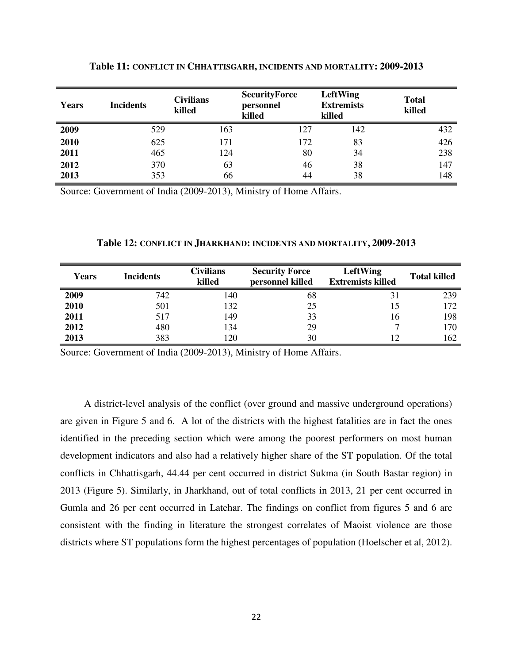| Years | <b>Incidents</b> | <b>Civilians</b><br>killed | <b>SecurityForce</b><br>personnel<br>killed | LeftWing<br><b>Extremists</b><br>killed | <b>Total</b><br>killed |
|-------|------------------|----------------------------|---------------------------------------------|-----------------------------------------|------------------------|
| 2009  | 529              | 163                        | 127                                         | 142                                     | 432                    |
| 2010  | 625              | 171                        | 172                                         | 83                                      | 426                    |
| 2011  | 465              | 124                        | 80                                          | 34                                      | 238                    |
| 2012  | 370              | 63                         | 46                                          | 38                                      | 147                    |
| 2013  | 353              | 66                         | 44                                          | 38                                      | 148                    |

**Table 11: CONFLICT IN CHHATTISGARH, INCIDENTS AND MORTALITY: 2009-2013**

Source: Government of India (2009-2013), Ministry of Home Affairs.

#### **Table 12: CONFLICT IN JHARKHAND: INCIDENTS AND MORTALITY, 2009-2013**

| Years | <b>Incidents</b> | <b>Civilians</b><br>killed | <b>Security Force</b><br>personnel killed | LeftWing<br><b>Extremists killed</b> | <b>Total killed</b> |
|-------|------------------|----------------------------|-------------------------------------------|--------------------------------------|---------------------|
| 2009  | 742              | 140                        | 68                                        | 31                                   | 239                 |
| 2010  | 501              | 132                        | 25                                        |                                      | 172                 |
| 2011  | 517              | 149                        | 33                                        | 16                                   | 198                 |
| 2012  | 480              | 134                        | 29                                        |                                      | 170                 |
| 2013  | 383              | 120                        | 30                                        | 12                                   | 162                 |

Source: Government of India (2009-2013), Ministry of Home Affairs.

A district-level analysis of the conflict (over ground and massive underground operations) are given in Figure 5 and 6. A lot of the districts with the highest fatalities are in fact the ones identified in the preceding section which were among the poorest performers on most human development indicators and also had a relatively higher share of the ST population. Of the total conflicts in Chhattisgarh, 44.44 per cent occurred in district Sukma (in South Bastar region) in 2013 (Figure 5). Similarly, in Jharkhand, out of total conflicts in 2013, 21 per cent occurred in Gumla and 26 per cent occurred in Latehar. The findings on conflict from figures 5 and 6 are consistent with the finding in literature the strongest correlates of Maoist violence are those districts where ST populations form the highest percentages of population (Hoelscher et al, 2012).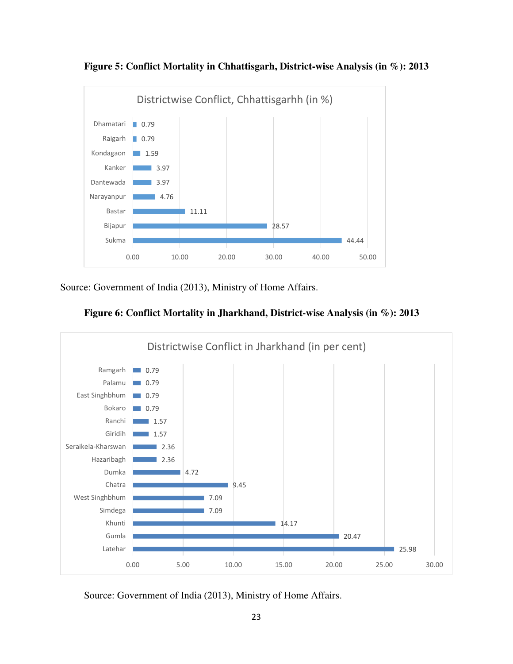

**Figure 5: Conflict Mortality in Chhattisgarh, District-wise Analysis (in %): 2013** 

Source: Government of India (2013), Ministry of Home Affairs.





Source: Government of India (2013), Ministry of Home Affairs.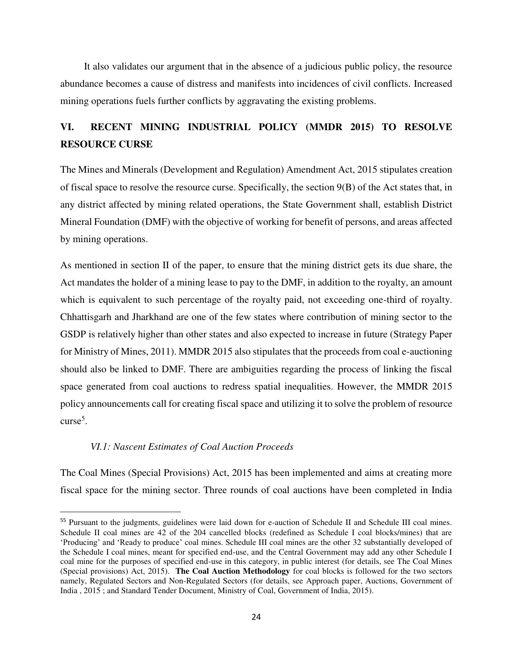It also validates our argument that in the absence of a judicious public policy, the resource abundance becomes a cause of distress and manifests into incidences of civil conflicts. Increased mining operations fuels further conflicts by aggravating the existing problems.

# **VI. RECENT MINING INDUSTRIAL POLICY (MMDR 2015) TO RESOLVE RESOURCE CURSE**

The Mines and Minerals (Development and Regulation) Amendment Act, 2015 stipulates creation of fiscal space to resolve the resource curse. Specifically, the section 9(B) of the Act states that, in any district affected by mining related operations, the State Government shall, establish District Mineral Foundation (DMF) with the objective of working for benefit of persons, and areas affected by mining operations.

As mentioned in section II of the paper, to ensure that the mining district gets its due share, the Act mandates the holder of a mining lease to pay to the DMF, in addition to the royalty, an amount which is equivalent to such percentage of the royalty paid, not exceeding one-third of royalty. Chhattisgarh and Jharkhand are one of the few states where contribution of mining sector to the GSDP is relatively higher than other states and also expected to increase in future (Strategy Paper for Ministry of Mines, 2011). MMDR 2015 also stipulates that the proceeds from coal e-auctioning should also be linked to DMF. There are ambiguities regarding the process of linking the fiscal space generated from coal auctions to redress spatial inequalities. However, the MMDR 2015 policy announcements call for creating fiscal space and utilizing it to solve the problem of resource curse<sup>5</sup>.

## *VI.1: Nascent Estimates of Coal Auction Proceeds*

 $\overline{a}$ 

The Coal Mines (Special Provisions) Act, 2015 has been implemented and aims at creating more fiscal space for the mining sector. Three rounds of coal auctions have been completed in India

<sup>&</sup>lt;sup>55</sup> Pursuant to the judgments, guidelines were laid down for e-auction of Schedule II and Schedule III coal mines. Schedule II coal mines are 42 of the 204 cancelled blocks (redefined as Schedule I coal blocks/mines) that are 'Producing' and 'Ready to produce' coal mines. Schedule III coal mines are the other 32 substantially developed of the Schedule I coal mines, meant for specified end-use, and the Central Government may add any other Schedule I coal mine for the purposes of specified end-use in this category, in public interest (for details, see The Coal Mines (Special provisions) Act, 2015). **The Coal Auction Methodology** for coal blocks is followed for the two sectors namely, Regulated Sectors and Non-Regulated Sectors (for details, see Approach paper, Auctions, Government of India , 2015 ; and Standard Tender Document, Ministry of Coal, Government of India, 2015).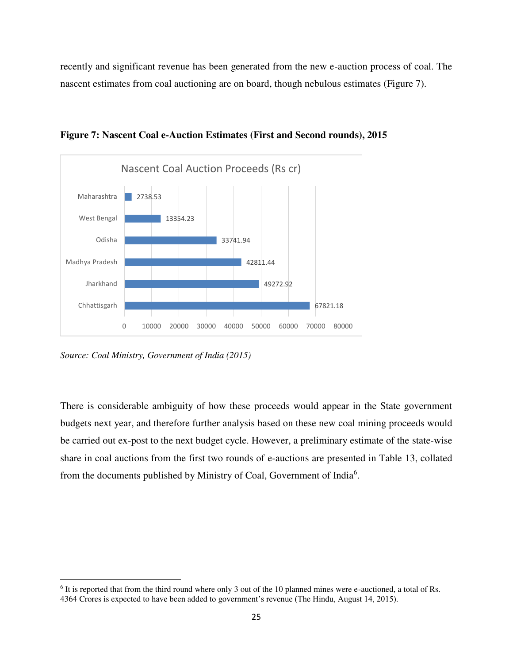recently and significant revenue has been generated from the new e-auction process of coal. The nascent estimates from coal auctioning are on board, though nebulous estimates (Figure 7).



**Figure 7: Nascent Coal e-Auction Estimates (First and Second rounds), 2015** 

*Source: Coal Ministry, Government of India (2015)*

 $\overline{a}$ 

There is considerable ambiguity of how these proceeds would appear in the State government budgets next year, and therefore further analysis based on these new coal mining proceeds would be carried out ex-post to the next budget cycle. However, a preliminary estimate of the state-wise share in coal auctions from the first two rounds of e-auctions are presented in Table 13, collated from the documents published by Ministry of Coal, Government of India<sup>6</sup>.

<sup>&</sup>lt;sup>6</sup> It is reported that from the third round where only 3 out of the 10 planned mines were e-auctioned, a total of Rs. 4364 Crores is expected to have been added to government's revenue (The Hindu, August 14, 2015).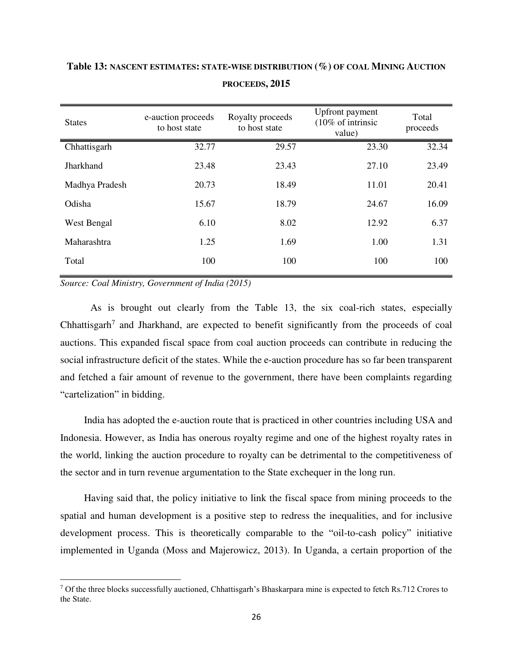| <b>States</b>  | e-auction proceeds<br>to host state | Royalty proceeds<br>to host state | Upfront payment<br>$(10\% \text{ of intrinsic}$<br>value) | Total<br>proceeds |
|----------------|-------------------------------------|-----------------------------------|-----------------------------------------------------------|-------------------|
| Chhattisgarh   | 32.77                               | 29.57                             | 23.30                                                     | 32.34             |
| Jharkhand      | 23.48                               | 23.43                             | 27.10                                                     | 23.49             |
| Madhya Pradesh | 20.73                               | 18.49                             | 11.01                                                     | 20.41             |
| Odisha         | 15.67                               | 18.79                             | 24.67                                                     | 16.09             |
| West Bengal    | 6.10                                | 8.02                              | 12.92                                                     | 6.37              |
| Maharashtra    | 1.25                                | 1.69                              | 1.00                                                      | 1.31              |
| Total          | 100                                 | 100                               | 100                                                       | 100               |

# **Table 13: NASCENT ESTIMATES: STATE-WISE DISTRIBUTION (%) OF COAL MINING AUCTION PROCEEDS, 2015**

*Source: Coal Ministry, Government of India (2015)*

 $\overline{a}$ 

As is brought out clearly from the Table 13, the six coal-rich states, especially Chhattisgarh<sup>7</sup> and Jharkhand, are expected to benefit significantly from the proceeds of coal auctions. This expanded fiscal space from coal auction proceeds can contribute in reducing the social infrastructure deficit of the states. While the e-auction procedure has so far been transparent and fetched a fair amount of revenue to the government, there have been complaints regarding "cartelization" in bidding.

India has adopted the e-auction route that is practiced in other countries including USA and Indonesia. However, as India has onerous royalty regime and one of the highest royalty rates in the world, linking the auction procedure to royalty can be detrimental to the competitiveness of the sector and in turn revenue argumentation to the State exchequer in the long run.

Having said that, the policy initiative to link the fiscal space from mining proceeds to the spatial and human development is a positive step to redress the inequalities, and for inclusive development process. This is theoretically comparable to the "oil-to-cash policy" initiative implemented in Uganda (Moss and Majerowicz, 2013). In Uganda, a certain proportion of the

<sup>7</sup> Of the three blocks successfully auctioned, Chhattisgarh's Bhaskarpara mine is expected to fetch Rs.712 Crores to the State.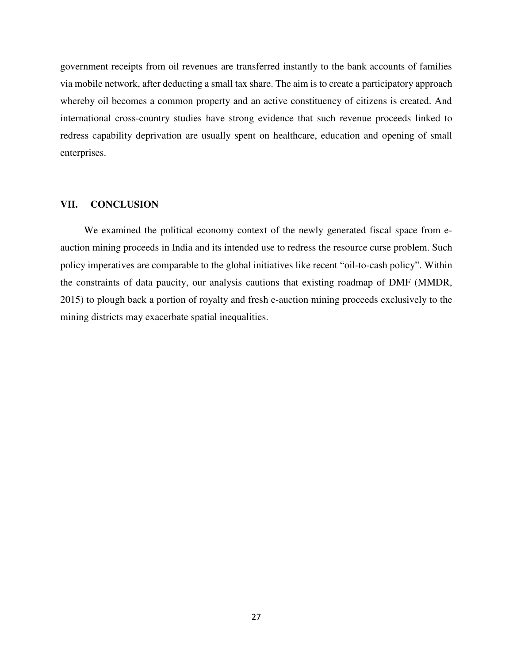government receipts from oil revenues are transferred instantly to the bank accounts of families via mobile network, after deducting a small tax share. The aim is to create a participatory approach whereby oil becomes a common property and an active constituency of citizens is created. And international cross-country studies have strong evidence that such revenue proceeds linked to redress capability deprivation are usually spent on healthcare, education and opening of small enterprises.

### **VII. CONCLUSION**

We examined the political economy context of the newly generated fiscal space from eauction mining proceeds in India and its intended use to redress the resource curse problem. Such policy imperatives are comparable to the global initiatives like recent "oil-to-cash policy". Within the constraints of data paucity, our analysis cautions that existing roadmap of DMF (MMDR, 2015) to plough back a portion of royalty and fresh e-auction mining proceeds exclusively to the mining districts may exacerbate spatial inequalities.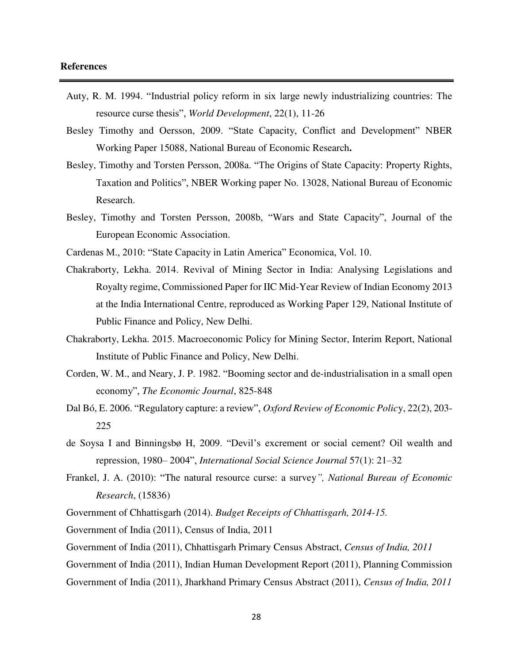- Auty, R. M. 1994. "Industrial policy reform in six large newly industrializing countries: The resource curse thesis", *World Development*, 22(1), 11-26
- Besley Timothy and Oersson, 2009. "State Capacity, Conflict and Development" NBER Working Paper 15088, National Bureau of Economic Research**.**
- Besley, Timothy and Torsten Persson, 2008a. "The Origins of State Capacity: Property Rights, Taxation and Politics", NBER Working paper No. 13028, National Bureau of Economic Research.
- Besley, Timothy and Torsten Persson, 2008b, "Wars and State Capacity", Journal of the European Economic Association.
- Cardenas M., 2010: "State Capacity in Latin America" Economica, Vol. 10.
- Chakraborty, Lekha. 2014. Revival of Mining Sector in India: Analysing Legislations and Royalty regime, Commissioned Paper for IIC Mid-Year Review of Indian Economy 2013 at the India International Centre, reproduced as Working Paper 129, National Institute of Public Finance and Policy, New Delhi.
- Chakraborty, Lekha. 2015. Macroeconomic Policy for Mining Sector, Interim Report, National Institute of Public Finance and Policy, New Delhi.
- Corden, W. M., and Neary, J. P. 1982. "Booming sector and de-industrialisation in a small open economy", *The Economic Journal*, 825-848
- Dal Bó, E. 2006. "Regulatory capture: a review", *Oxford Review of Economic Polic*y, 22(2), 203- 225
- de Soysa I and Binningsbø H, 2009. "Devil's excrement or social cement? Oil wealth and repression, 1980– 2004", *International Social Science Journal* 57(1): 21–32
- Frankel, J. A. (2010): "The natural resource curse: a survey*", National Bureau of Economic Research*, (15836)

Government of Chhattisgarh (2014). *Budget Receipts of Chhattisgarh, 2014-15.*

Government of India (2011), Census of India, 2011

Government of India (2011), Chhattisgarh Primary Census Abstract, *Census of India, 2011*

Government of India (2011), Indian Human Development Report (2011), Planning Commission

Government of India (2011), Jharkhand Primary Census Abstract (2011), *Census of India, 2011*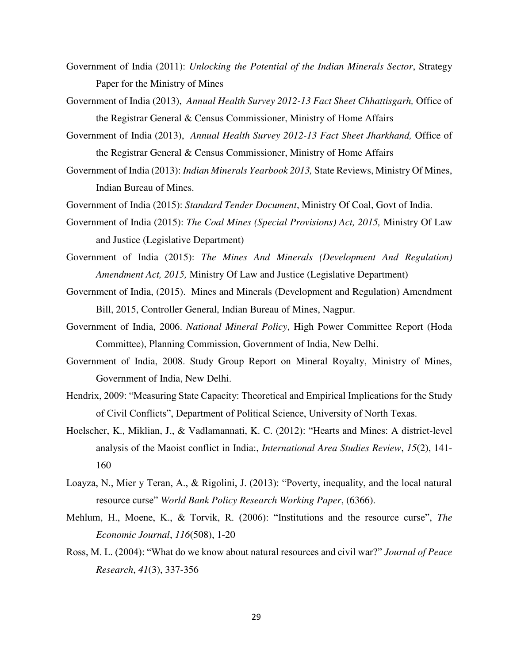- Government of India (2011): *Unlocking the Potential of the Indian Minerals Sector*, Strategy Paper for the Ministry of Mines
- Government of India (2013), *Annual Health Survey 2012-13 Fact Sheet Chhattisgarh,* Office of the Registrar General & Census Commissioner, Ministry of Home Affairs
- Government of India (2013), *Annual Health Survey 2012-13 Fact Sheet Jharkhand,* Office of the Registrar General & Census Commissioner, Ministry of Home Affairs
- Government of India (2013): *Indian Minerals Yearbook 2013,* State Reviews, Ministry Of Mines, Indian Bureau of Mines.
- Government of India (2015): *Standard Tender Document*, Ministry Of Coal, Govt of India.
- Government of India (2015): *The Coal Mines (Special Provisions) Act, 2015,* Ministry Of Law and Justice (Legislative Department)
- Government of India (2015): *The Mines And Minerals (Development And Regulation) Amendment Act, 2015,* Ministry Of Law and Justice (Legislative Department)
- Government of India, (2015). Mines and Minerals (Development and Regulation) Amendment Bill, 2015, Controller General, Indian Bureau of Mines, Nagpur.
- Government of India, 2006. *National Mineral Policy*, High Power Committee Report (Hoda Committee), Planning Commission, Government of India, New Delhi.
- Government of India, 2008. Study Group Report on Mineral Royalty, Ministry of Mines, Government of India, New Delhi.
- Hendrix, 2009: "Measuring State Capacity: Theoretical and Empirical Implications for the Study of Civil Conflicts", Department of Political Science, University of North Texas.
- Hoelscher, K., Miklian, J., & Vadlamannati, K. C. (2012): "Hearts and Mines: A district-level analysis of the Maoist conflict in India:, *International Area Studies Review*, *15*(2), 141- 160
- Loayza, N., Mier y Teran, A., & Rigolini, J. (2013): "Poverty, inequality, and the local natural resource curse" *World Bank Policy Research Working Paper*, (6366).
- Mehlum, H., Moene, K., & Torvik, R. (2006): "Institutions and the resource curse", *The Economic Journal*, *116*(508), 1-20
- Ross, M. L. (2004): "What do we know about natural resources and civil war?" *Journal of Peace Research*, *41*(3), 337-356